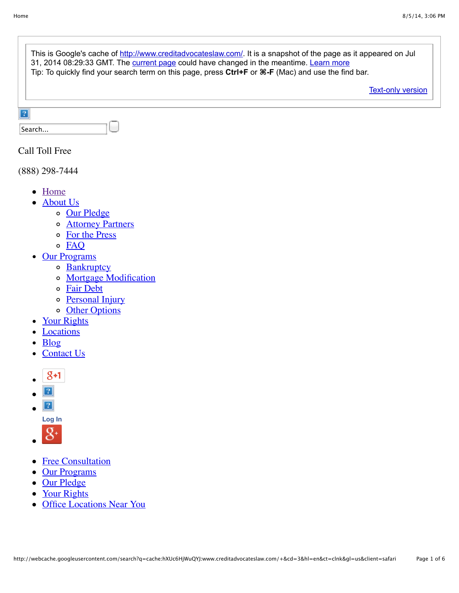|                | This is Google's cache of http://www.creditadvocateslaw.com/. It is a snapshot of the page as it appeared on Jul<br>31, 2014 08:29:33 GMT. The current page could have changed in the meantime. Learn more<br>Tip: To quickly find your search term on this page, press Ctrl+F or $\mathcal{H}-F$ (Mac) and use the find bar. |
|----------------|-------------------------------------------------------------------------------------------------------------------------------------------------------------------------------------------------------------------------------------------------------------------------------------------------------------------------------|
|                | <b>Text-only version</b>                                                                                                                                                                                                                                                                                                      |
| $\overline{?}$ | Search                                                                                                                                                                                                                                                                                                                        |

## Call Toll Free

(888) 298-7444

- [Home](http://www.creditadvocateslaw.com/)
- [About Us](http://www.creditadvocateslaw.com/about-us.html)
	- o [Our Pledge](http://www.creditadvocateslaw.com/our-pledge.html)
	- o **[Attorney Partners](http://www.creditadvocateslaw.com/attorney-partners.html)**
	- [For the Press](http://www.creditadvocateslaw.com/for-the-press.html)
	- o [FAQ](http://www.creditadvocateslaw.com/faq.html)
- [Our Programs](http://www.creditadvocateslaw.com/our-programs.html)
	- o [Bankruptcy](http://www.creditadvocateslaw.com/bankrutpcy-programs.html)
	- [Mortgage Modification](http://www.creditadvocateslaw.com/mortgage-modification-program.html)
	- [Fair Debt](http://www.creditadvocateslaw.com/fair-debt.html)
	- o [Personal Injury](http://www.creditadvocateslaw.com/personal-injury.html)
	- o [Other Options](http://www.creditadvocateslaw.com/other-options.html)
- [Your Rights](http://www.creditadvocateslaw.com/your-rights.html)
- [Locations](http://www.creditadvocateslaw.com/locations.html)
- [Blog](http://creditadvocateslaw.com/blog)
- [Contact Us](http://www.creditadvocateslaw.com/contact-us.html)  $\bullet$
- $8 + 1$
- $|2|$
- $\sqrt{2}$  $\bullet$ 
	- **[Log In](https://www.facebook.com/plugins/like.php?app_id=&channel=http%3A%2F%2Fstatic.ak.facebook.com%2Fconnect%2Fxd_arbiter%2FoDB-fAAStWy.js%3Fversion%3D41%23cb%3Df19f8640%26domain%3Dwebcache.googleusercontent.com%26origin%3Dhttp%253A%252F%252Fwebcache.googleusercontent.com%252Ff1018d6844%26relation%3Dparent.parent&href=http%3A%2F%2Fwww.creditadvocateslaw.com%2Fcreditadvocateslaw.com&locale=en_US&sdk=joey&send=false&show_faces=false&width=230#)**
	-
- $8^{\circ}$
- [Free Consultation](http://www.creditadvocateslaw.com/#)
- [Our Programs](http://www.creditadvocateslaw.com/#)
- [Our Pledge](http://www.creditadvocateslaw.com/#)
- [Your Rights](http://www.creditadvocateslaw.com/#)
- [Office Locations Near You](http://www.creditadvocateslaw.com/#)  $\bullet$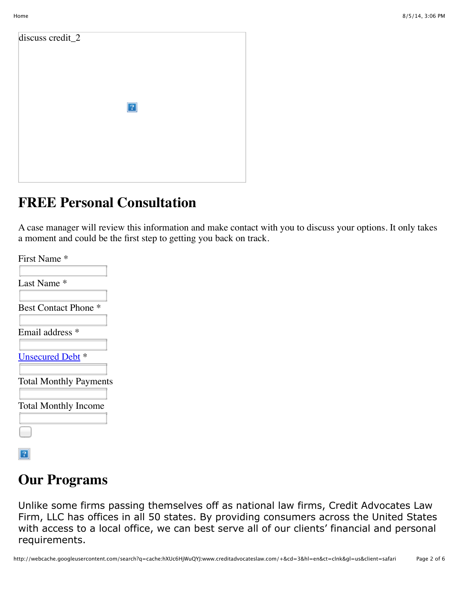discuss credit\_2  $|2|$ 

# **FREE Personal Consultation**

A case manager will review this information and make contact with you to discuss your options. It only takes a moment and could be the first step to getting you back on track.

| First Name *                   |
|--------------------------------|
| Last Name <sup>*</sup>         |
| <b>Best Contact Phone</b><br>∗ |
| Email address *                |
| <b>Unsecured Debt</b> *        |
| <b>Total Monthly Payments</b>  |
| <b>Total Monthly Income</b>    |
|                                |
|                                |

# **Our Programs**

Unlike some firms passing themselves off as national law firms, Credit Advocates Law Firm, LLC has offices in all 50 states. By providing consumers across the United States with access to a local office, we can best serve all of our clients' financial and personal requirements.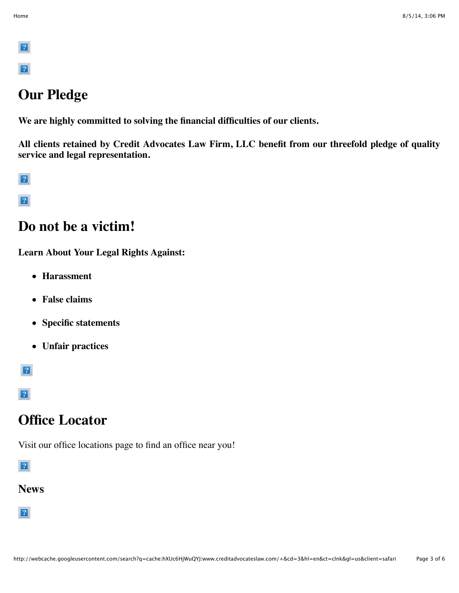$\boxed{?}$  $\lceil 2 \rceil$ 

# **Our Pledge**

**We are highly committed to solving the financial difficulties of our clients.**

**All clients retained by Credit Advocates Law Firm, LLC benefit from our threefold pledge of quality service and legal representation.**

 $|2|$ 

 $\boxed{?}$ 

## **Do not be a victim!**

**Learn About Your Legal Rights Against:**

- **Harassment**
- **False claims**
- **Specific statements**
- **Unfair practices**

 $\boxed{?}$ 

 $\boxed{?}$ 

## **Office Locator**

Visit our office locations page to find an office near you!

 $|2|$ 

## **News**

 $|2|$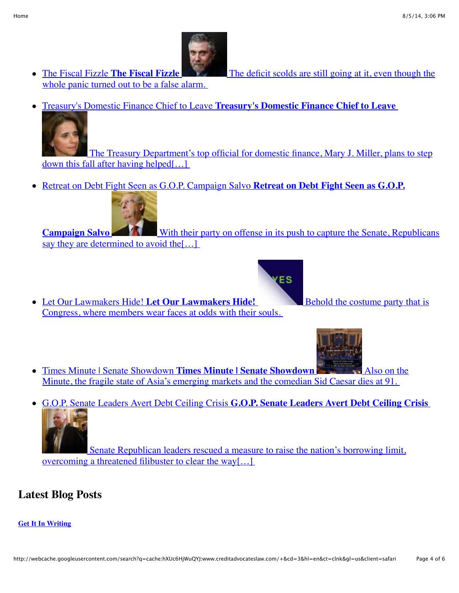

whole panic turned out to be a false alarm.

• The Fiscal Fizzle **The Fiscal Fizzle** [The deficit scolds are still going at it, even though the](http://www.nytimes.com/2014/07/21/opinion/Paul-Krugman-An-Imaginary-Budget-and-Debt-Crisis.html?partner=rssnyt&emc=rss)

Treasury's Domestic Finance Chief to Leave **Treasury's Domestic Finance Chief to Leave**



 [The Treasury Department's top official for domestic finance, Mary J. Miller, plans to step](http://dealbook.nytimes.com/2014/06/12/treasurys-domestic-finance-chief-to-leave/?partner=rssnyt&emc=rss) down this fall after having helped[…]

Retreat on Debt Fight Seen as G.O.P. Campaign Salvo **Retreat on Debt Fight Seen as G.O.P.**



**Campaign Salvo** [With their party on offense in its push to capture the Senate, Republicans](http://www.nytimes.com/2014/02/18/us/politics/behind-debt-limit-retreat-a-gop-eye-on-retaking-the-senate.html?partner=rssnyt&emc=rss) say they are determined to avoid the [...]

**/ES** 

• Let Our Lawmakers Hide! Let Our Lawmakers Hide! [Congress, where members wear faces at odds with their souls.](http://www.nytimes.com/2014/02/16/opinion/sunday/bruni-let-our-lawmakers-hide.html?partner=rssnyt&emc=rss) 



- Times Minute | Senate Showdown **Times Minute | Senate Showdown** Also on the [Minute, the fragile state of Asia's emerging markets and the comedian Sid Caesar dies at 91.](http://www.nytimes.com/news/minute/2014/02/13/times-minute-senate-showdown/?partner=rssnyt&emc=rss)
- G.O.P. Senate Leaders Avert Debt Ceiling Crisis **G.O.P. Senate Leaders Avert Debt Ceiling Crisis**



 [Senate Republican leaders rescued a measure to raise the nation's borrowing limit,](http://www.nytimes.com/2014/02/13/us/politics/senate-debt-ceiling-increase.html?partner=rssnyt&emc=rss) overcoming a threatened filibuster to clear the way[…]

## **Latest Blog Posts**

#### **[Get It In Writing](http://www.creditadvocateslaw.com/blog/?p=227)**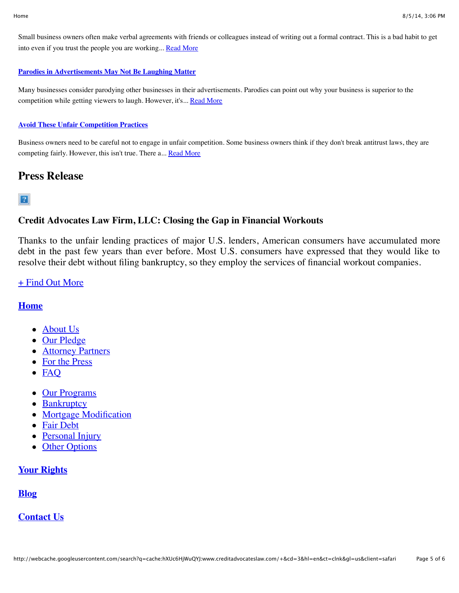Small business owners often make verbal agreements with friends or colleagues instead of writing out a formal contract. This is a bad habit to get into even if you trust the people you are working... [Read More](http://www.creditadvocateslaw.com/blog/?p=227)

#### **[Parodies in Advertisements May Not Be Laughing Matter](http://www.creditadvocateslaw.com/blog/?p=225)**

Many businesses consider parodying other businesses in their advertisements. Parodies can point out why your business is superior to the competition while getting viewers to laugh. However, it's... [Read More](http://www.creditadvocateslaw.com/blog/?p=225)

#### **[Avoid These Unfair Competition Practices](http://www.creditadvocateslaw.com/blog/?p=223)**

Business owners need to be careful not to engage in unfair competition. Some business owners think if they don't break antitrust laws, they are competing fairly. However, this isn't true. There a... [Read More](http://www.creditadvocateslaw.com/blog/?p=223)

## **Press Release**

### $|2|$

## **Credit Advocates Law Firm, LLC: Closing the Gap in Financial Workouts**

Thanks to the unfair lending practices of major U.S. lenders, American consumers have accumulated more debt in the past few years than ever before. Most U.S. consumers have expressed that they would like to resolve their debt without filing bankruptcy, so they employ the services of financial workout companies.

#### [+ Find Out More](http://www.creditadvocateslaw.com/press-release1.html)

#### **[Home](http://open-graph.org/)**

- [About Us](http://www.creditadvocateslaw.com/about-us.html)
- [Our Pledge](http://www.creditadvocateslaw.com/our-pledge.html)
- [Attorney Partners](http://www.creditadvocateslaw.com/attorney-partners.html)
- [For the Press](http://www.creditadvocateslaw.com/for-the-press.html)
- FAO
- [Our Programs](http://www.creditadvocateslaw.com/our-programs.html)
- [Bankruptcy](http://www.creditadvocateslaw.com/bankrutpcy-programs.html)
- [Mortgage Modification](http://www.creditadvocateslaw.com/mortgage-modification-program.html)
- [Fair Debt](http://www.creditadvocateslaw.com/fair-debt.html)
- [Personal Injury](http://www.creditadvocateslaw.com/personal-injury.html)
- [Other Options](http://www.creditadvocateslaw.com/other-options.html)

### **[Your Rights](http://www.creditadvocateslaw.com/your-rights.html)**

**[Blog](http://www.creditadvocateslaw.com/blog/)**

### **[Contact Us](http://www.creditadvocateslaw.com/contact-us.html)**